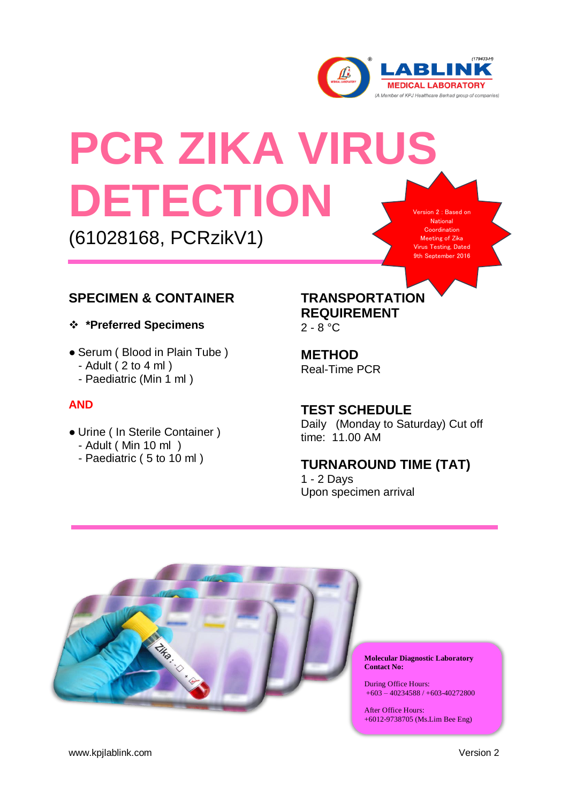

ordination ing of Zika Testing, Dated September 2016

# **PCR ZIKA VIRUS DETECTION** rsion 2 : Based on National

(61028168, PCRzikV1)

# **SPECIMEN & CONTAINER**

**\*Preferred Specimens**

- Serum (Blood in Plain Tube)
	- $-$  Adult (2 to 4 ml)
	- Paediatric (Min 1 ml )

### **AND**

- Urine ( In Sterile Container )
	- Adult ( Min 10 ml )
	- Paediatric ( 5 to 10 ml )

# **TRANSPORTATION REQUIREMENT**

 $2 - 8 °C$ 

**METHOD** Real-Time PCR

## **TEST SCHEDULE**

Daily (Monday to Saturday) Cut off time: 11.00 AM

# **TURNAROUND TIME (TAT)**

1 - 2 Days Upon specimen arrival



**Molecular Diagnostic Laboratory Contact No:**

During Office Hours: +603 – 40234588 / +603-40272800

After Office Hours: +6012-9738705 (Ms.Lim Bee Eng)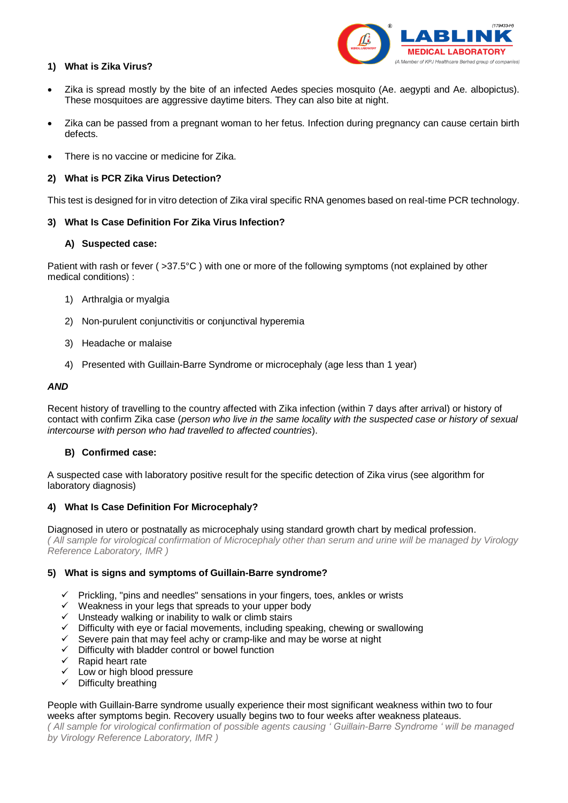

#### **1) What is Zika Virus?**

- Zika is spread mostly by the bite of an infected Aedes species mosquito (Ae. aegypti and Ae. albopictus). These mosquitoes are aggressive daytime biters. They can also bite at night.
- Zika can be passed from a pregnant woman to her fetus. Infection during pregnancy can cause certain birth defects.
- There is no vaccine or medicine for Zika.

#### **2) What is PCR Zika Virus Detection?**

This test is designed for in vitro detection of Zika viral specific RNA genomes based on real-time PCR technology.

#### **3) What Is Case Definition For Zika Virus Infection?**

#### **A) Suspected case:**

Patient with rash or fever ( >37.5°C ) with one or more of the following symptoms (not explained by other medical conditions) :

- 1) Arthralgia or myalgia
- 2) Non-purulent conjunctivitis or conjunctival hyperemia
- 3) Headache or malaise
- 4) Presented with Guillain-Barre Syndrome or microcephaly (age less than 1 year)

#### *AND*

Recent history of travelling to the country affected with Zika infection (within 7 days after arrival) or history of contact with confirm Zika case (*person who live in the same locality with the suspected case or history of sexual intercourse with person who had travelled to affected countries*).

#### **B) Confirmed case:**

A suspected case with laboratory positive result for the specific detection of Zika virus (see algorithm for laboratory diagnosis)

#### **4) What Is Case Definition For Microcephaly?**

Diagnosed in utero or postnatally as microcephaly using standard growth chart by medical profession. *( All sample for virological confirmation of Microcephaly other than serum and urine will be managed by Virology Reference Laboratory, IMR )*

#### **5) What is signs and symptoms of Guillain-Barre syndrome?**

- $\checkmark$  Prickling, "pins and needles" sensations in your fingers, toes, ankles or wrists
- $\checkmark$  Weakness in your legs that spreads to your upper body
- $\checkmark$  Unsteady walking or inability to walk or climb stairs
- Difficulty with eye or facial movements, including speaking, chewing or swallowing
- Severe pain that may feel achy or cramp-like and may be worse at night
- Difficulty with bladder control or bowel function
- Rapid heart rate
- $\checkmark$  Low or high blood pressure
- $\checkmark$  Difficulty breathing

#### People with Guillain-Barre syndrome usually experience their most significant weakness within two to four weeks after symptoms begin. Recovery usually begins two to four weeks after weakness plateaus.

*( All sample for virological confirmation of possible agents causing ' Guillain-Barre Syndrome ' will be managed by Virology Reference Laboratory, IMR )*